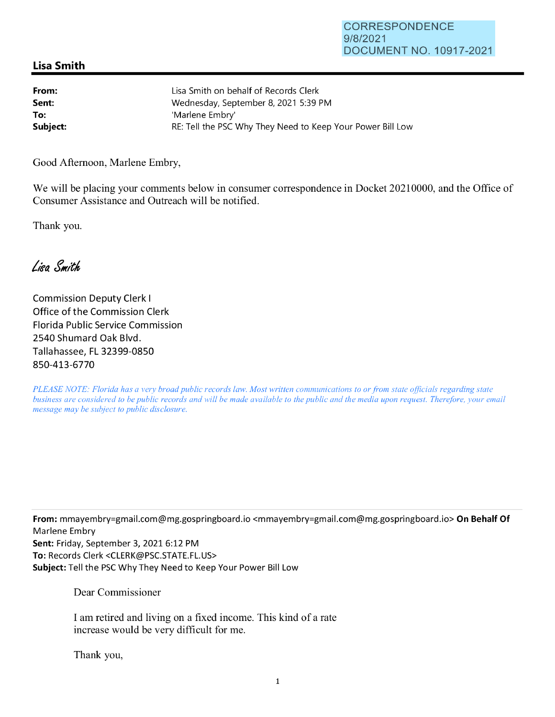## **Lisa Smith**

| From:    | Lisa Smith on behalf of Records Clerk                      |
|----------|------------------------------------------------------------|
| Sent:    | Wednesday, September 8, 2021 5:39 PM                       |
| To:      | 'Marlene Embry'                                            |
| Subject: | RE: Tell the PSC Why They Need to Keep Your Power Bill Low |

Good Afternoon, Marlene Embry,

We will be placing your comments below in consumer correspondence in Docket 20210000, and the Office of Consumer Assistance and Outreach will be notified.

Thank you.

Lisa Smith

Commission Deputy Clerk I Office of the Commission Clerk Florida Public Service Commission 2540 Shumard Oak Blvd. Tallahassee, FL 32399-0850 850-413-6770

*PLEASE NOTE: Florida has a very broad public records law. Most written communications to or from state officials regarding state business are considered to be public records and will be made available to the public and the media upon request. Therefore, your email message may be subject to public disclosure.* 

**From:** mmayembry=gmail.com@mg.gospringboard.io <mmayembry=gmail.com@mg.gospringboard.io> **On Behalf Of**  Marlene Embry **Sent:** Friday, September 3, 2021 6:12 PM **To:** Records Clerk <CLERK@PSC.STATE.FL.US> **Subject:** Tell the PSC Why They Need to Keep Your Power Bill Low

Dear Commissioner

I am retired and living on a fixed income. This kind of a rate increase would be very difficult for me.

Thank you,